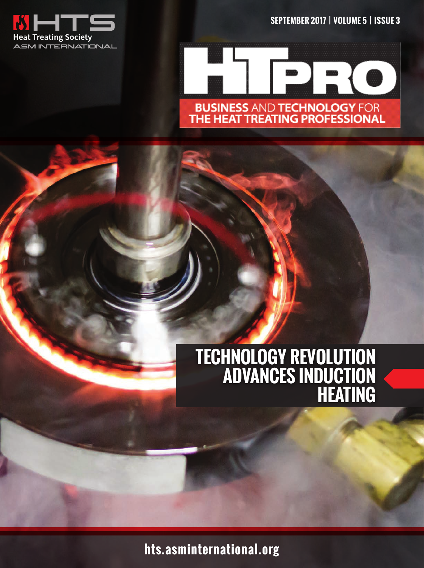





# **TECHNOLOGY REVOLUTION ADVANCES INDUCTION HEATING**

**hts.asminternational.org**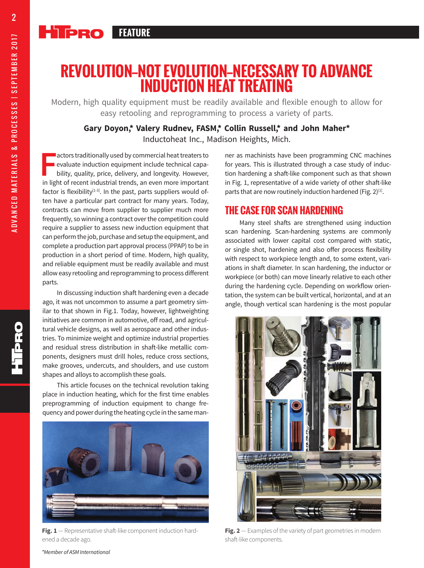# **REVOLUTION—NOT EVOLUTION—NECESSARY TO ADVANCE INDUCTION HEAT TREATING**

Modern, high quality equipment must be readily available and flexible enough to allow for easy retooling and reprogramming to process a variety of parts.

### **Gary Doyon,\* Valery Rudnev, FASM,\* Collin Russell,\* and John Maher\*** Inductoheat Inc., Madison Heights, Mich.

**F** actors traditionally used by commercial heat treaters to evaluate induction equipment include technical capability, quality, price, delivery, and longevity. However, in light of recent industrial trends, an even more i **actors traditionally used by commercial heat treaters to** evaluate induction equipment include technical capability, quality, price, delivery, and longevity. However, factor is flexibility $[1-3]$ . In the past, parts suppliers would often have a particular part contract for many years. Today, contracts can move from supplier to supplier much more frequently, so winning a contract over the competition could require a supplier to assess new induction equipment that can perform the job, purchase and setup the equipment, and complete a production part approval process (PPAP) to be in production in a short period of time. Modern, high quality, and reliable equipment must be readily available and must allow easy retooling and reprogramming to process different parts.

In discussing induction shaft hardening even a decade ago, it was not uncommon to assume a part geometry similar to that shown in Fig.1. Today, however, lightweighting initiatives are common in automotive, off road, and agricultural vehicle designs, as well as aerospace and other industries. To minimize weight and optimize industrial properties and residual stress distribution in shaft-like metallic components, designers must drill holes, reduce cross sections, make grooves, undercuts, and shoulders, and use custom shapes and alloys to accomplish these goals.

This article focuses on the technical revolution taking place in induction heating, which for the first time enables preprogramming of induction equipment to change frequency and power during the heating cycle in the same man-



**Fig. 1** — Representative shaft-like component induction hardened a decade ago.

ner as machinists have been programming CNC machines for years. This is illustrated through a case study of induction hardening a shaft-like component such as that shown in Fig. 1, representative of a wide variety of other shaft-like parts that are now routinely induction hardened (Fig.  $2^{[1]}$ .

# **THE CASE FOR SCAN HARDENING**

Many steel shafts are strengthened using induction scan hardening. Scan-hardening systems are commonly associated with lower capital cost compared with static, or single shot, hardening and also offer process flexibility with respect to workpiece length and, to some extent, variations in shaft diameter. In scan hardening, the inductor or workpiece (or both) can move linearly relative to each other during the hardening cycle. Depending on workflow orientation, the system can be built vertical, horizontal, and at an angle, though vertical scan hardening is the most popular



**Fig. 2** — Examples of the variety of part geometries in modern shaft-like components.

ADVANCED MATERIALS & PROCESSES | SEPTEMBER 2017

ADVANCED MATERIALS & PROCESSES | SEPTEMBER 2017

2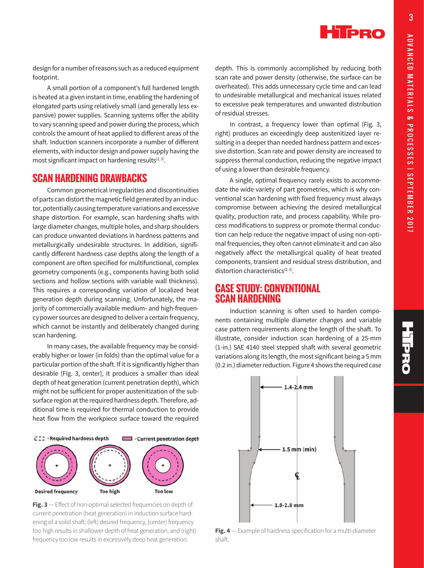

design for a number of reasons such as a reduced equipment footprint.

A small portion of a component's full hardened length is heated at a given instant in time, enabling the hardening of elongated parts using relatively small (and generally less expansive) power supplies. Scanning systems offer the ability to vary scanning speed and power during the process, which controls the amount of heat applied to different areas of the shaft. Induction scanners incorporate a number of different elements, with inductor design and power supply having the most significant impact on hardening results $[2, 3]$ .

### **SCAN HARDENING DRAWBACKS**

Common geometrical irregularities and discontinuities of parts can distort the magnetic field generated by an inductor, potentially causing temperature variations and excessive shape distortion. For example, scan hardening shafts with large diameter changes, multiple holes, and sharp shoulders can produce unwanted deviations in hardness patterns and metallurgically undesirable structures. In addition, significantly different hardness case depths along the length of a component are often specified for multifunctional, complex geometry components (e.g., components having both solid sections and hollow sections with variable wall thickness). This requires a corresponding variation of localized heat generation depth during scanning. Unfortunately, the majority of commercially available medium- and high-frequency power sources are designed to deliver a certain frequency, which cannot be instantly and deliberately changed during scan hardening.

In many cases, the available frequency may be considerably higher or lower (in folds) than the optimal value for a particular portion of the shaft. If it is significantly higher than desirable (Fig. 3, center), it produces a smaller than ideal depth of heat generation (current penetration depth), which might not be sufficient for proper austenitization of the subsurface region at the required hardness depth. Therefore, additional time is required for thermal conduction to provide heat flow from the workpiece surface toward the required



**Fig. 3** — Effect of non-optimal selected frequencies on depth of current penetration (heat generation) in induction surface hardening of a solid shaft; (left) desired frequency, (center) frequency too high results in shallower depth of heat generation, and (right) frequency too low results in excessively deep heat generation.

depth. This is commonly accomplished by reducing both scan rate and power density (otherwise, the surface can be overheated). This adds unnecessary cycle time and can lead to undesirable metallurgical and mechanical issues related to excessive peak temperatures and unwanted distribution of residual stresses.

In contrast, a frequency lower than optimal (Fig. 3, right) produces an exceedingly deep austenitized layer resulting in a deeper than needed hardness pattern and excessive distortion. Scan rate and power density are increased to suppress thermal conduction, reducing the negative impact of using a lower than desirable frequency.

A single, optimal frequency rarely exists to accommodate the wide variety of part geometries, which is why conventional scan hardening with fixed frequency must always compromise between achieving the desired metallurgical quality, production rate, and process capability. While process modifications to suppress or promote thermal conduction can help reduce the negative impact of using non-optimal frequencies, they often cannot eliminate it and can also negatively affect the metallurgical quality of heat treated components, transient and residual stress distribution, and distortion characteristics $[2, 3]$ .

### **CASE STUDY: CONVENTIONAL SCAN HARDENING**

Induction scanning is often used to harden components containing multiple diameter changes and variable case pattern requirements along the length of the shaft. To illustrate, consider induction scan hardening of a 25-mm (1-in.) SAE 4140 steel stepped shaft with several geometric variations along its length, the most significant being a 5 mm (0.2 in.) diameter reduction. Figure 4 shows the required case



**Fig. 4** — Example of hardness specification for a multi-diameter shaft.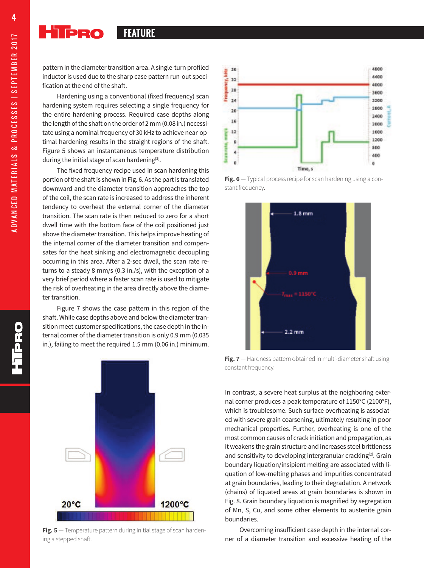**HIPRO FEATURE**

pattern in the diameter transition area. A single-turn profiled inductor is used due to the sharp case pattern run-out specification at the end of the shaft.

Hardening using a conventional (fixed frequency) scan hardening system requires selecting a single frequency for the entire hardening process. Required case depths along the length of the shaft on the order of 2 mm (0.08 in.) necessitate using a nominal frequency of 30 kHz to achieve near-optimal hardening results in the straight regions of the shaft. Figure 5 shows an instantaneous temperature distribution during the initial stage of scan hardening<sup>[3]</sup>.

The fixed frequency recipe used in scan hardening this portion of the shaft is shown in Fig. 6. As the part is translated downward and the diameter transition approaches the top of the coil, the scan rate is increased to address the inherent tendency to overheat the external corner of the diameter transition. The scan rate is then reduced to zero for a short dwell time with the bottom face of the coil positioned just above the diameter transition. This helps improve heating of the internal corner of the diameter transition and compensates for the heat sinking and electromagnetic decoupling occurring in this area. After a 2-sec dwell, the scan rate returns to a steady 8 mm/s (0.3 in./s), with the exception of a very brief period where a faster scan rate is used to mitigate the risk of overheating in the area directly above the diameter transition.

Figure 7 shows the case pattern in this region of the shaft. While case depths above and below the diameter transition meet customer specifications, the case depth in the internal corner of the diameter transition is only 0.9 mm (0.035 in.), failing to meet the required 1.5 mm (0.06 in.) minimum.



**Fig. 5** — Temperature pattern during initial stage of scan hardening a stepped shaft.



**Fig. 6** — Typical process recipe for scan hardening using a constant frequency.



**Fig. 7** — Hardness pattern obtained in multi-diameter shaft using constant frequency.

In contrast, a severe heat surplus at the neighboring external corner produces a peak temperature of 1150°C (2100°F), which is troublesome. Such surface overheating is associated with severe grain coarsening, ultimately resulting in poor mechanical properties. Further, overheating is one of the most common causes of crack initiation and propagation, as it weakens the grain structure and increases steel brittleness and sensitivity to developing intergranular cracking<sup>[2]</sup>. Grain boundary liquation/insipient melting are associated with liquation of low-melting phases and impurities concentrated at grain boundaries, leading to their degradation. A network (chains) of liquated areas at grain boundaries is shown in Fig. 8. Grain boundary liquation is magnified by segregation of Mn, S, Cu, and some other elements to austenite grain boundaries.

Overcoming insufficient case depth in the internal corner of a diameter transition and excessive heating of the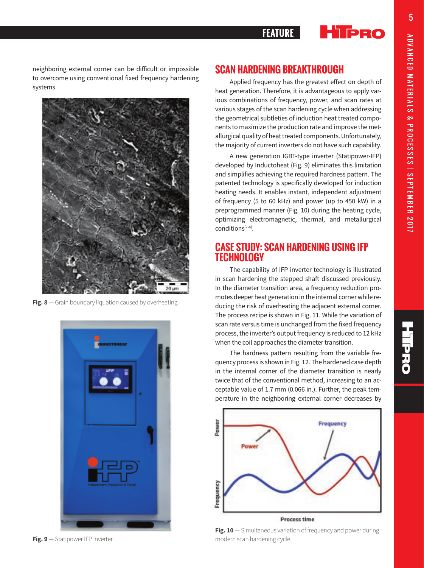

#### **HIPRO FEATURE**

neighboring external corner can be difficult or impossible to overcome using conventional fixed frequency hardening systems.



**Fig. 8** — Grain boundary liquation caused by overheating.



## **SCAN HARDENING BREAKTHROUGH**

Applied frequency has the greatest effect on depth of heat generation. Therefore, it is advantageous to apply various combinations of frequency, power, and scan rates at various stages of the scan hardening cycle when addressing the geometrical subtleties of induction heat treated components to maximize the production rate and improve the metallurgical quality of heat treated components. Unfortunately, the majority of current inverters do not have such capability.

A new generation IGBT-type inverter (Statipower-IFP) developed by Inductoheat (Fig. 9) eliminates this limitation and simplifies achieving the required hardness pattern. The patented technology is specifically developed for induction heating needs. It enables instant, independent adjustment of frequency (5 to 60 kHz) and power (up to 450 kW) in a preprogrammed manner (Fig. 10) during the heating cycle, optimizing electromagnetic, thermal, and metallurgical conditions[2-4].

# **CASE STUDY: SCAN HARDENING USING IFP TECHNOLOGY**

The capability of IFP inverter technology is illustrated in scan hardening the stepped shaft discussed previously. In the diameter transition area, a frequency reduction promotes deeper heat generation in the internal corner while reducing the risk of overheating the adjacent external corner. The process recipe is shown in Fig. 11. While the variation of scan rate versus time is unchanged from the fixed frequency process, the inverter's output frequency is reduced to 12 kHz when the coil approaches the diameter transition.

The hardness pattern resulting from the variable frequency process is shown in Fig. 12. The hardened case depth in the internal corner of the diameter transition is nearly twice that of the conventional method, increasing to an acceptable value of 1.7 mm (0.066 in.). Further, the peak temperature in the neighboring external corner decreases by



**Fig. 9** — Statipower IFP inverter.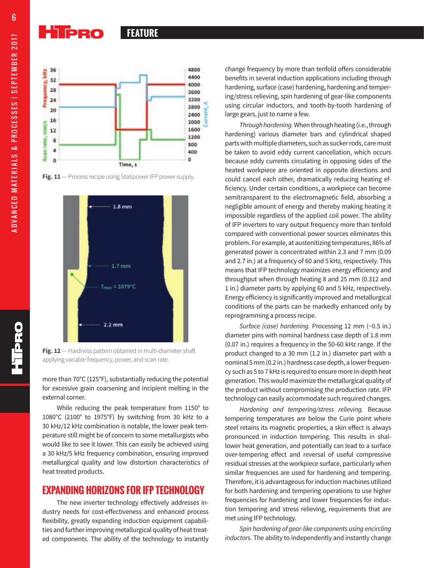#### Hippo **FEATURE FEATURE**



**Fig. 11** — Process recipe using Statipower IFP power supply.



**Fig. 12** — Hardness pattern obtained in multi-diameter shaft applying variable frequency, power, and scan rate.

more than 70°C (125°F), substantially reducing the potential for excessive grain coarsening and incipient melting in the external corner.

While reducing the peak temperature from 1150° to 1080°C (2100° to 1975°F) by switching from 30 kHz to a 30 kHz/12 kHz combination is notable, the lower peak temperature still might be of concern to some metallurgists who would like to see it lower. This can easily be achieved using a 30 kHz/5 kHz frequency combination, ensuring improved metallurgical quality and low distortion characteristics of heat treated products.

## **EXPANDING HORIZONS FOR IFP TECHNOLOGY**

The new inverter technology effectively addresses industry needs for cost-effectiveness and enhanced process flexibility, greatly expanding induction equipment capabilities and further improving metallurgical quality of heat treated components. The ability of the technology to instantly change frequency by more than tenfold offers considerable benefits in several induction applications including through hardening, surface (case) hardening, hardening and tempering/stress relieving, spin hardening of gear-like components using circular inductors, and tooth-by-tooth hardening of large gears, just to name a few.

*Through hardening.* When through heating (i.e., through hardening) various diameter bars and cylindrical shaped parts with multiple diameters, such as sucker rods, care must be taken to avoid eddy current cancellation, which occurs because eddy currents circulating in opposing sides of the heated workpiece are oriented in opposite directions and could cancel each other, dramatically reducing heating efficiency. Under certain conditions, a workpiece can become semitransparent to the electromagnetic field, absorbing a negligible amount of energy and thereby making heating it impossible regardless of the applied coil power. The ability of IFP inverters to vary output frequency more than tenfold compared with conventional power sources eliminates this problem. For example, at austenitizing temperatures, 86% of generated power is concentrated within 2.3 and 7 mm (0.09 and 2.7 in.) at a frequency of 60 and 5 kHz, respectively. This means that IFP technology maximizes energy efficiency and throughput when through heating 8 and 25 mm (0.312 and 1 in.) diameter parts by applying 60 and 5 kHz, respectively. Energy efficiency is significantly improved and metallurgical conditions of the parts can be markedly enhanced only by reprogramming a process recipe.

*Surface (case) hardening.* Processing 12 mm (~0.5 in.) diameter pins with nominal hardness case depth of 1.8 mm (0.07 in.) requires a frequency in the 50-60 kHz range. If the product changed to a 30 mm (1.2 in.) diameter part with a nominal 5 mm (0.2 in.) hardness case depth, a lower frequency such as 5 to 7 kHz is required to ensure more in-depth heat generation. This would maximize the metallurgical quality of the product without compromising the production rate. IFP technology can easily accommodate such required changes.

*Hardening and tempering/stress relieving.* Because tempering temperatures are below the Curie point where steel retains its magnetic properties, a skin effect is always pronounced in induction tempering. This results in shallower heat generation, and potentially can lead to a surface over-tempering effect and reversal of useful compressive residual stresses at the workpiece surface, particularly when similar frequencies are used for hardening and tempering. Therefore, it is advantageous for induction machines utilized for both hardening and tempering operations to use higher frequencies for hardening and lower frequencies for induction tempering and stress relieving, requirements that are met using IFP technology.

*Spin hardening of gear-like components using encircling inductors.* The ability to independently and instantly change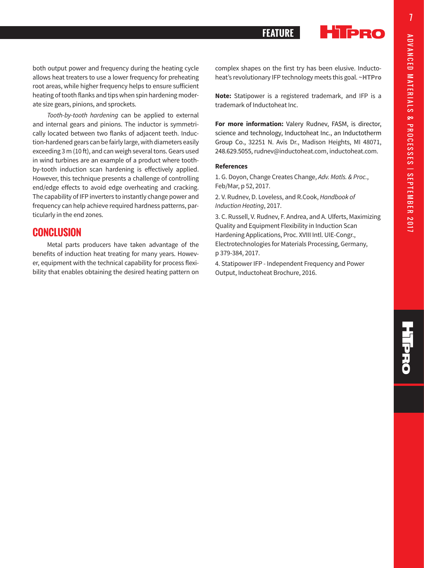TPRO

# **FEATURE**

both output power and frequency during the heating cycle allows heat treaters to use a lower frequency for preheating root areas, while higher frequency helps to ensure sufficient heating of tooth flanks and tips when spin hardening moderate size gears, pinions, and sprockets.

*Tooth-by-tooth hardening* can be applied to external and internal gears and pinions. The inductor is symmetrically located between two flanks of adjacent teeth. Induction-hardened gears can be fairly large, with diameters easily exceeding 3 m (10 ft), and can weigh several tons. Gears used in wind turbines are an example of a product where toothby-tooth induction scan hardening is effectively applied. However, this technique presents a challenge of controlling end/edge effects to avoid edge overheating and cracking. The capability of IFP inverters to instantly change power and frequency can help achieve required hardness patterns, particularly in the end zones.

## **CONCLUSION**

Metal parts producers have taken advantage of the benefits of induction heat treating for many years. However, equipment with the technical capability for process flexibility that enables obtaining the desired heating pattern on complex shapes on the first try has been elusive. Inductoheat's revolutionary IFP technology meets this goal. **~HTPro**

**Note:** Statipower is a registered trademark, and IFP is a trademark of Inductoheat Inc.

**For more information:** Valery Rudnev, FASM, is director, science and technology, Inductoheat Inc., an Inductotherm Group Co., 32251 N. Avis Dr., Madison Heights, MI 48071, 248.629.5055, rudnev@inductoheat.com, inductoheat.com.

#### **References**

1. G. Doyon, Change Creates Change, *Adv. Matls. & Proc.*, Feb/Mar, p 52, 2017.

2. V. Rudnev, D. Loveless, and R.Cook, *Handbook of Induction Heating*, 2017.

3. C. Russell, V. Rudnev, F. Andrea, and A. Ulferts, Maximizing Quality and Equipment Flexibility in Induction Scan Hardening Applications, Proc. XVIII Intl. UIE-Congr., Electrotechnologies for Materials Processing, Germany, p 379-384, 2017.

4. Statipower IFP - Independent Frequency and Power Output, Inductoheat Brochure, 2016.